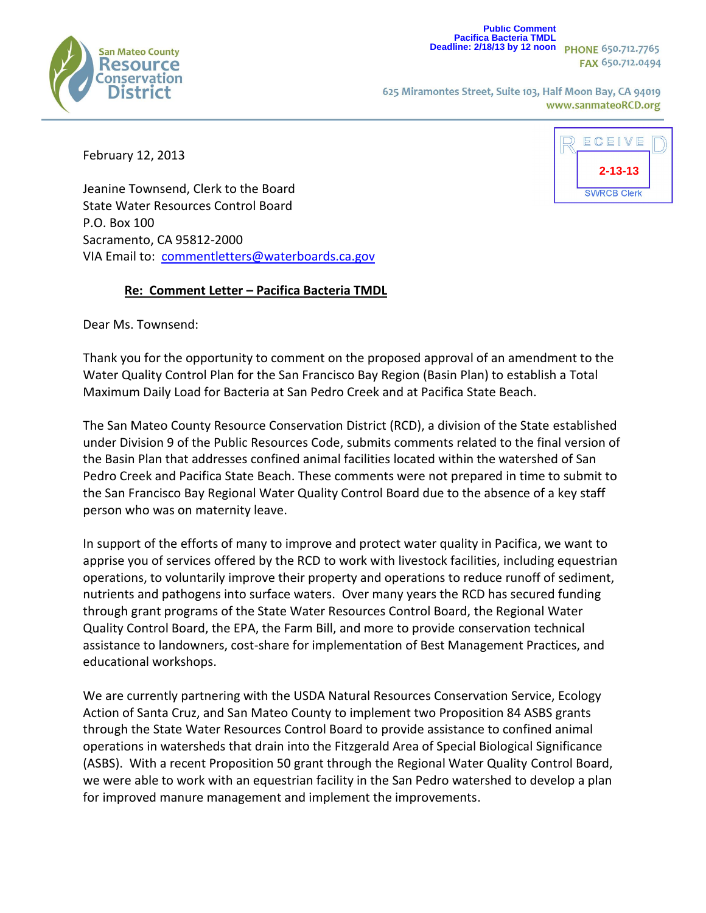

**Public Comment Pacifica Bacteria TMDL Deadline: 2/18/13 by 12 noon**

FAX 650.712.0494

625 Miramontes Street, Suite 103, Half Moon Bay, CA 94019 www.sanmateoRCD.org

February 12, 2013



Jeanine Townsend, Clerk to the Board State Water Resources Control Board P.O. Box 100 Sacramento, CA 95812-2000 VIA Email to: [commentletters@waterboards.ca.gov](mailto:commentletters@waterboards.ca.gov)

## **Re: Comment Letter – Pacifica Bacteria TMDL**

Dear Ms. Townsend:

Thank you for the opportunity to comment on the proposed approval of an amendment to the Water Quality Control Plan for the San Francisco Bay Region (Basin Plan) to establish a Total Maximum Daily Load for Bacteria at San Pedro Creek and at Pacifica State Beach.

The San Mateo County Resource Conservation District (RCD), a division of the State established under Division 9 of the Public Resources Code, submits comments related to the final version of the Basin Plan that addresses confined animal facilities located within the watershed of San Pedro Creek and Pacifica State Beach. These comments were not prepared in time to submit to the San Francisco Bay Regional Water Quality Control Board due to the absence of a key staff person who was on maternity leave.

In support of the efforts of many to improve and protect water quality in Pacifica, we want to apprise you of services offered by the RCD to work with livestock facilities, including equestrian operations, to voluntarily improve their property and operations to reduce runoff of sediment, nutrients and pathogens into surface waters. Over many years the RCD has secured funding through grant programs of the State Water Resources Control Board, the Regional Water Quality Control Board, the EPA, the Farm Bill, and more to provide conservation technical assistance to landowners, cost-share for implementation of Best Management Practices, and educational workshops.

We are currently partnering with the USDA Natural Resources Conservation Service, Ecology Action of Santa Cruz, and San Mateo County to implement two Proposition 84 ASBS grants through the State Water Resources Control Board to provide assistance to confined animal operations in watersheds that drain into the Fitzgerald Area of Special Biological Significance (ASBS). With a recent Proposition 50 grant through the Regional Water Quality Control Board, we were able to work with an equestrian facility in the San Pedro watershed to develop a plan for improved manure management and implement the improvements.